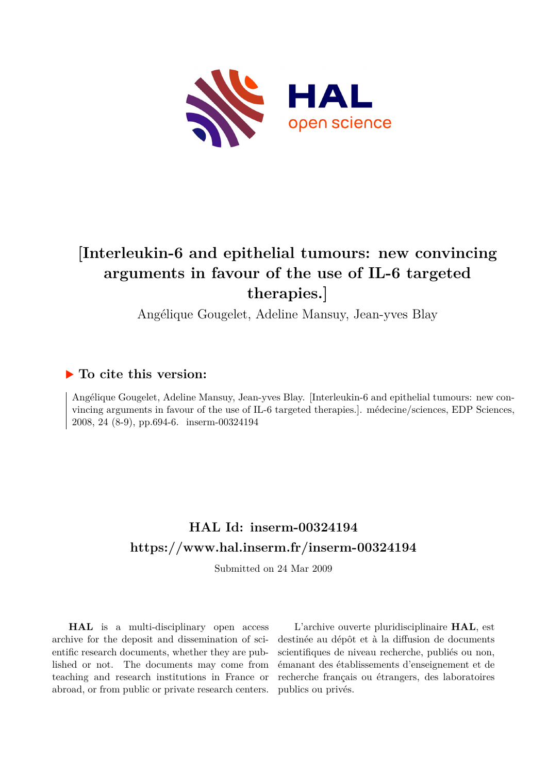

# **[Interleukin-6 and epithelial tumours: new convincing arguments in favour of the use of IL-6 targeted therapies.]**

Angélique Gougelet, Adeline Mansuy, Jean-yves Blay

### **To cite this version:**

Angélique Gougelet, Adeline Mansuy, Jean-yves Blay. [Interleukin-6 and epithelial tumours: new convincing arguments in favour of the use of IL-6 targeted therapies.]. médecine/sciences, EDP Sciences, 2008, 24 (8-9), pp.694-6. inserm-00324194

## **HAL Id: inserm-00324194 <https://www.hal.inserm.fr/inserm-00324194>**

Submitted on 24 Mar 2009

**HAL** is a multi-disciplinary open access archive for the deposit and dissemination of scientific research documents, whether they are published or not. The documents may come from teaching and research institutions in France or abroad, or from public or private research centers.

L'archive ouverte pluridisciplinaire **HAL**, est destinée au dépôt et à la diffusion de documents scientifiques de niveau recherche, publiés ou non, émanant des établissements d'enseignement et de recherche français ou étrangers, des laboratoires publics ou privés.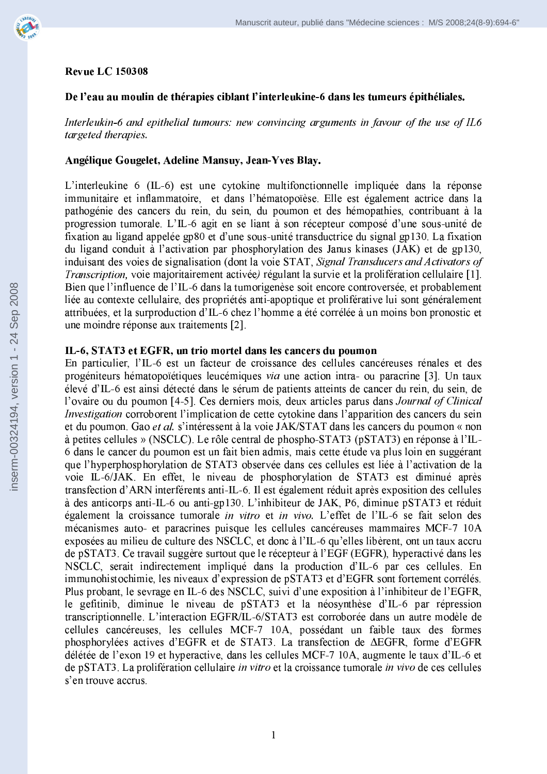

#### **Revue LC 150308**

#### De l'eau au moulin de thérapies ciblant l'interleukine-6 dans les tumeurs épithéliales.

Interleukin-6 and epithelial tumours: new convincing arguments in favour of the use of IL6 targeted therapies.

#### Angélique Gougelet, Adeline Mansuy, Jean-Yves Blay.

L'interleukine 6 (IL-6) est une cytokine multifonctionnelle impliquée dans la réponse immunitaire et inflammatoire, et dans l'hématopoïèse. Elle est également actrice dans la pathogénie des cancers du rein, du sein, du poumon et des hémopathies, contribuant à la progression tumorale. L'IL-6 agit en se liant à son récepteur composé d'une sous-unité de fixation au ligand appelée gp80 et d'une sous-unité transductrice du signal gp130. La fixation du ligand conduit à l'activation par phosphorylation des Janus kinases (JAK) et de gp130, induisant des voies de signalisation (dont la voie STAT, Signal Transducers and Activators of Transcription, voie majoritairement activée) régulant la survie et la prolifération cellulaire [1]. Bien que l'influence de l'IL-6 dans la tumorigenèse soit encore controversée, et probablement liée au contexte cellulaire, des propriétés anti-apoptique et proliférative lui sont généralement attribuées, et la surproduction d'IL-6 chez l'homme a été corrélée à un moins bon pronostic et une moindre réponse aux traitements [2].

#### IL-6, STAT3 et EGFR, un trio mortel dans les cancers du poumon

En particulier, l'IL-6 est un facteur de croissance des cellules cancéreuses rénales et des progéniteurs hématopoïétiques leucémiques via une action intra- ou paracrine [3]. Un taux élevé d'IL-6 est ainsi détecté dans le sérum de patients atteints de cancer du rein, du sein, de l'ovaire ou du poumon [4-5]. Ces derniers mois, deux articles parus dans Journal of Clinical *Investigation* corroborent l'implication de cette cytokine dans l'apparition des cancers du sein et du poumon. Gao et al. s'intéressent à la voie JAK/STAT dans les cancers du poumon « non à petites cellules » (NSCLC). Le rôle central de phospho-STAT3 (pSTAT3) en réponse à l'IL-6 dans le cancer du poumon est un fait bien admis, mais cette étude va plus loin en suggérant que l'hyperphosphorylation de STAT3 observée dans ces cellules est liée à l'activation de la voie IL-6/JAK. En effet, le niveau de phosphorylation de STAT3 est diminué après transfection d'ARN interférents anti-IL-6. Il est également réduit après exposition des cellules à des anticorps anti-IL-6 ou anti-gp130. L'inhibiteur de JAK, P6, diminue pSTAT3 et réduit également la croissance tumorale in vitro et in vivo. L'effet de l'IL-6 se fait selon des mécanismes auto- et paracrines puisque les cellules cancéreuses mammaires MCF-7 10A exposées au milieu de culture des NSCLC, et donc à l'IL-6 qu'elles libèrent, ont un taux accru de pSTAT3. Ce travail suggère surtout que le récepteur à l'EGF (EGFR), hyperactivé dans les NSCLC, serait indirectement impliqué dans la production d'IL-6 par ces cellules. En immunohistochimie, les niveaux d'expression de pSTAT3 et d'EGFR sont fortement corrélés. Plus probant, le sevrage en IL-6 des NSCLC, suivi d'une exposition à l'inhibiteur de l'EGFR, le gefitinib, diminue le niveau de pSTAT3 et la néosynthèse d'IL-6 par répression transcriptionnelle. L'interaction EGFR/IL-6/STAT3 est corroborée dans un autre modèle de cellules cancéreuses, les cellules MCF-7 10A, possédant un faible taux des formes phosphorylées actives d'EGFR et de STAT3. La transfection de AEGFR, forme d'EGFR délétée de l'exon 19 et hyperactive, dans les cellules MCF-7 10A, augmente le taux d'IL-6 et de pSTAT3. La prolifération cellulaire in vitro et la croissance tumorale in vivo de ces cellules s'en trouve accrus.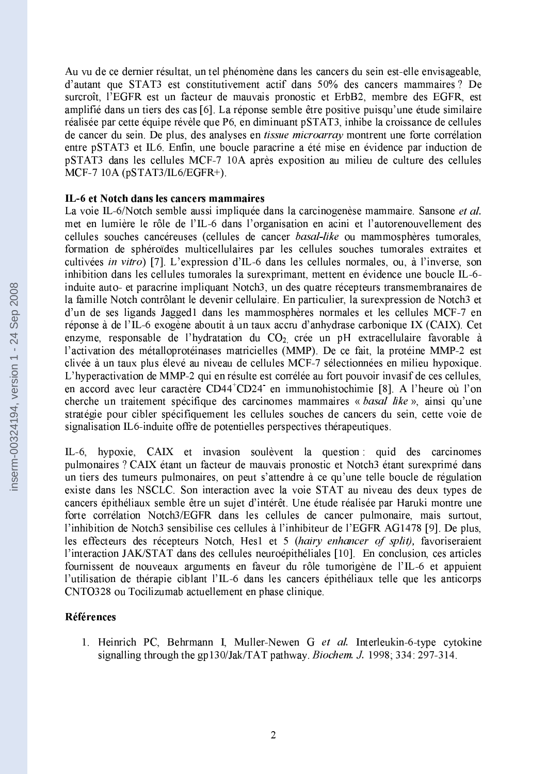Au vu de ce dernier résultat, un tel phénomène dans les cancers du sein est-elle envisageable, d'autant que STAT3 est constitutivement actif dans 50% des cancers mammaires ? De surcroît, l'EGFR est un facteur de mauvais pronostic et ErbB2, membre des EGFR, est amplifié dans un tiers des cas [6]. La réponse semble être positive puisqu'une étude similaire réalisée par cette équipe révèle que P6, en diminuant pSTAT3, inhibe la croissance de cellules de cancer du sein. De plus, des analyses en *tissue microarray* montrent une forte corrélation entre pSTAT3 et IL6. Enfin, une boucle paracrine a été mise en évidence par induction de pSTAT3 dans les cellules MCF-7 10A après exposition au milieu de culture des cellules MCF-7 10A ( $pSTAT3/IL6/EGFR+$ ).

#### IL-6 et Notch dans les cancers mammaires

La voie IL-6/Notch semble aussi impliquée dans la carcinogenèse mammaire. Sansone et al. met en lumière le rôle de l'IL-6 dans l'organisation en acini et l'autorenouvellement des cellules souches cancéreuses (cellules de cancer basal-like ou mammosphères tumorales, formation de sphéroïdes multicellulaires par les cellules souches tumorales extraites et cultivées in vitro) [7]. L'expression d'IL-6 dans les cellules normales, ou, à l'inverse, son inhibition dans les cellules tumorales la surexprimant, mettent en évidence une boucle IL-6induite auto- et paracrine impliquant Notch3, un des quatre récepteurs transmembranaires de la famille Notch contrôlant le devenir cellulaire. En particulier, la surexpression de Notch3 et d'un de ses ligands Jagged1 dans les mammosphères normales et les cellules MCF-7 en réponse à de l'IL-6 exogène aboutit à un taux accru d'anhydrase carbonique IX (CAIX). Cet enzyme, responsable de l'hydratation du CO<sub>2</sub> crée un pH extracellulaire favorable à l'activation des métalloprotéinases matricielles (MMP). De ce fait, la protéine MMP-2 est clivée à un taux plus élevé au niveau de cellules MCF-7 sélectionnées en milieu hypoxique. L'hyperactivation de MMP-2 qui en résulte est corrélée au fort pouvoir invasif de ces cellules, en accord avec leur caractère CD44<sup>+</sup>CD24 en immunohistochimie [8]. A l'heure où l'on cherche un traitement spécifique des carcinomes mammaires « basal like », ainsi qu'une stratégie pour cibler spécifiquement les cellules souches de cancers du sein, cette voie de signalisation IL6-induite offre de potentielles perspectives thérapeutiques.

IL-6, hypoxie, CAIX et invasion soulèvent la question qui des carcinomes pulmonaires ? CAIX étant un facteur de mauvais pronostic et Notch3 étant surexprimé dans un tiers des tumeurs pulmonaires, on peut s'attendre à ce qu'une telle boucle de régulation existe dans les NSCLC. Son interaction avec la voie STAT au niveau des deux types de cancers épithéliaux semble être un sujet d'intérêt. Une étude réalisée par Haruki montre une forte corrélation Notch3/EGFR dans les cellules de cancer pulmonaire, mais surtout, l'inhibition de Notch3 sensibilise ces cellules à l'inhibiteur de l'EGFR AG1478 [9]. De plus, les effecteurs des récepteurs Notch, Hes1 et 5 (hairy enhancer of split), favoriseraient l'interaction JAK/STAT dans des cellules neuroépithéliales [10]. En conclusion, ces articles fournissent de nouveaux arguments en faveur du rôle tumorigène de l'IL-6 et appuient l'utilisation de thérapie ciblant l'IL-6 dans les cancers épithéliaux telle que les anticorps CNTO328 ou Tocilizumab actuellement en phase clinique.

#### Références

1. Heinrich PC, Behrmann I, Muller-Newen G et al. Interleukin-6-type cytokine signalling through the gp130/Jak/TAT pathway. *Biochem. J.* 1998; 334: 297-314.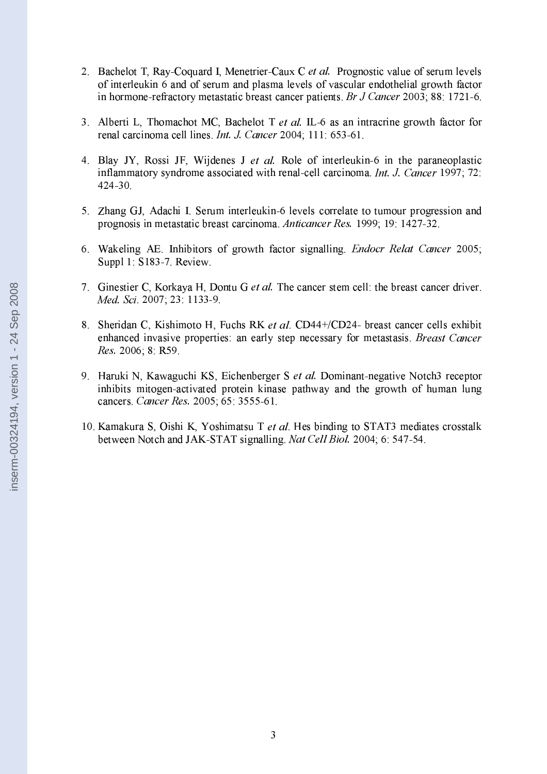- 2. Bachelot T, Ray-Coquard I, Menetrier-Caux C et al. Prognostic value of serum levels of interleukin 6 and of serum and plasma levels of vascular endothelial growth factor in hormone-refractory metastatic breast cancer patients. Br J Cancer 2003; 88: 1721-6.
- 3. Alberti L, Thomachot MC, Bachelot T et al. IL-6 as an intracrine growth factor for renal carcinoma cell lines. Int. J. Cancer 2004; 111: 653-61.
- 4. Blay JY, Rossi JF, Wijdenes J et al. Role of interleukin-6 in the paraneoplastic inflammatory syndrome associated with renal-cell carcinoma. Int. J. Cancer 1997; 72: 424-30.
- 5. Zhang GJ, Adachi I. Serum interleukin-6 levels correlate to tumour progression and prognosis in metastatic breast carcinoma. Anticancer Res. 1999; 19: 1427-32.
- 6. Wakeling AE. Inhibitors of growth factor signalling. *Endocr Relat Cancer* 2005; Suppl 1: S183-7. Review.
- 7. Ginestier C, Korkaya H, Dontu G et al. The cancer stem cell: the breast cancer driver. Med. Sci. 2007; 23: 1133-9.
- 8. Sheridan C, Kishimoto H, Fuchs RK et al. CD44+/CD24- breast cancer cells exhibit enhanced invasive properties: an early step necessary for metastasis. *Breast Cancer* Res. 2006; 8: R59.
- 9. Haruki N, Kawaguchi KS, Eichenberger S et al. Dominant-negative Notch3 receptor inhibits mitogen-activated protein kinase pathway and the growth of human lung cancers. Cancer Res. 2005; 65: 3555-61.
- 10. Kamakura S, Oishi K, Yoshimatsu T et al. Hes binding to STAT3 mediates crosstalk between Notch and JAK-STAT signalling. Nat Cell Biol. 2004; 6: 547-54.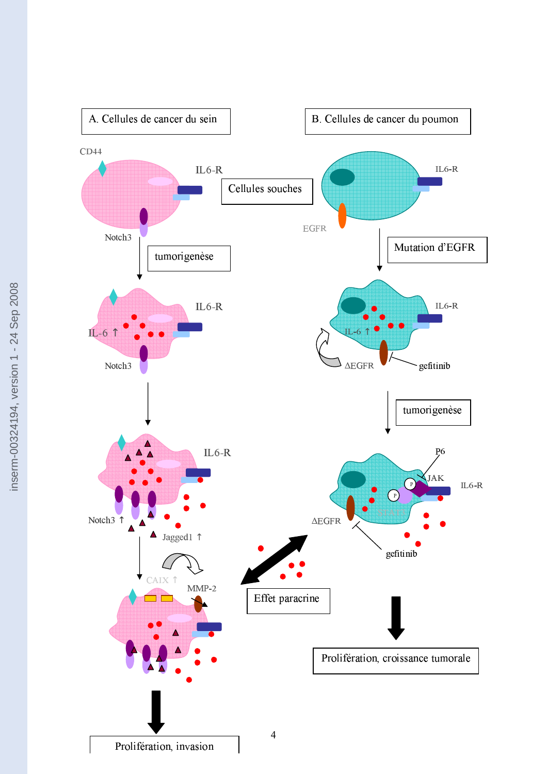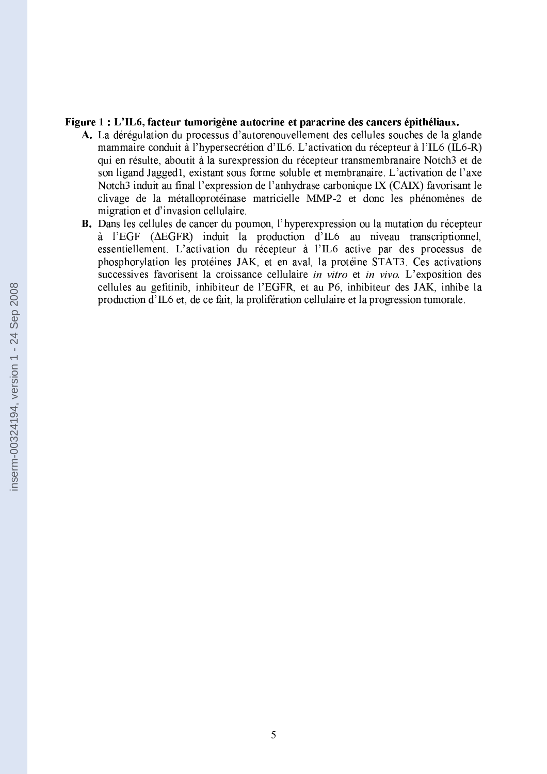#### Figure 1 : L'IL6, facteur tumorigène autocrine et paracrine des cancers épithéliaux.

- A. La dérégulation du processus d'autorenouvellement des cellules souches de la glande mammaire conduit à l'hypersecrétion d'IL6. L'activation du récepteur à l'IL6 (IL6-R) qui en résulte, aboutit à la surexpression du récepteur transmembranaire Notch3 et de son ligand Jagged1, existant sous forme soluble et membranaire. L'activation de l'axe Notch3 induit au final l'expression de l'anhydrase carbonique IX (CAIX) favorisant le clivage de la métalloprotéinase matricielle MMP-2 et donc les phénomènes de migration et d'invasion cellulaire.
- B. Dans les cellules de cancer du poumon, l'hyperexpression ou la mutation du récepteur  $\dot{a}$  l'EGF ( $\triangle E$ GFR) induit la production d'IL6 au niveau transcriptionnel, essentiellement. L'activation du récepteur à l'IL6 active par des processus de phosphorylation les protéines JAK, et en aval, la protéine STAT3. Ces activations successives favorisent la croissance cellulaire in vitro et in vivo. L'exposition des cellules au gefitinib, inhibiteur de l'EGFR, et au P6, inhibiteur des JAK, inhibe la production d'IL6 et, de ce fait, la prolifération cellulaire et la progression tumorale.